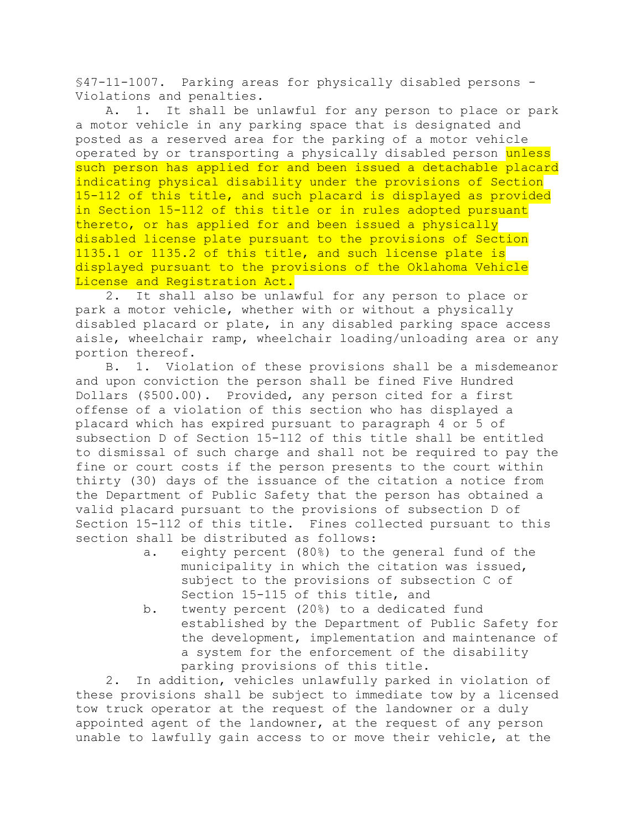§47-11-1007. Parking areas for physically disabled persons - Violations and penalties.

A. 1. It shall be unlawful for any person to place or park a motor vehicle in any parking space that is designated and posted as a reserved area for the parking of a motor vehicle operated by or transporting a physically disabled person unless such person has applied for and been issued a detachable placard indicating physical disability under the provisions of Section 15-112 of this title, and such placard is displayed as provided in Section 15-112 of this title or in rules adopted pursuant thereto, or has applied for and been issued a physically disabled license plate pursuant to the provisions of Section 1135.1 or 1135.2 of this title, and such license plate is displayed pursuant to the provisions of the Oklahoma Vehicle License and Registration Act.

2. It shall also be unlawful for any person to place or park a motor vehicle, whether with or without a physically disabled placard or plate, in any disabled parking space access aisle, wheelchair ramp, wheelchair loading/unloading area or any portion thereof.

B. 1. Violation of these provisions shall be a misdemeanor and upon conviction the person shall be fined Five Hundred Dollars (\$500.00). Provided, any person cited for a first offense of a violation of this section who has displayed a placard which has expired pursuant to paragraph 4 or 5 of subsection D of Section 15-112 of this title shall be entitled to dismissal of such charge and shall not be required to pay the fine or court costs if the person presents to the court within thirty (30) days of the issuance of the citation a notice from the Department of Public Safety that the person has obtained a valid placard pursuant to the provisions of subsection D of Section 15-112 of this title. Fines collected pursuant to this section shall be distributed as follows:

- a. eighty percent (80%) to the general fund of the municipality in which the citation was issued, subject to the provisions of subsection C of Section 15-115 of this title, and
- b. twenty percent (20%) to a dedicated fund established by the Department of Public Safety for the development, implementation and maintenance of a system for the enforcement of the disability parking provisions of this title.

2. In addition, vehicles unlawfully parked in violation of these provisions shall be subject to immediate tow by a licensed tow truck operator at the request of the landowner or a duly appointed agent of the landowner, at the request of any person unable to lawfully gain access to or move their vehicle, at the